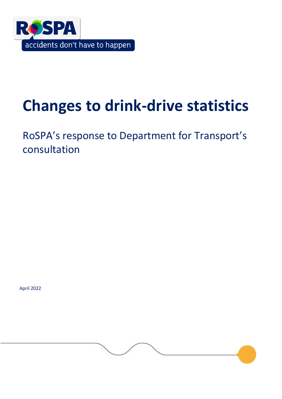

# **Changes to drink-drive statistics**

RoSPA's response to Department for Transport's consultation

April 2022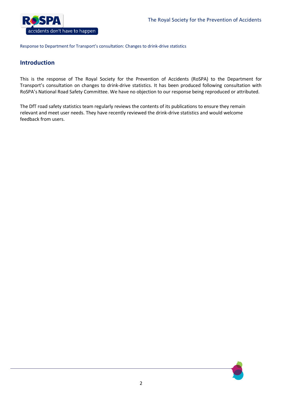

# **Introduction**

This is the response of The Royal Society for the Prevention of Accidents (RoSPA) to the Department for Transport's consultation on changes to drink-drive statistics. It has been produced following consultation with RoSPA's National Road Safety Committee. We have no objection to our response being reproduced or attributed.

The DfT road safety statistics team regularly reviews the contents of its publications to ensure they remain relevant and meet user needs. They have recently reviewed the drink-drive statistics and would welcome feedback from users.

2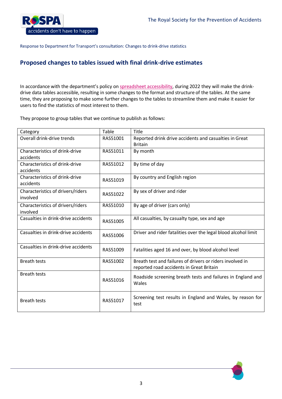

# **Proposed changes to tables issued with final drink-drive estimates**

In accordance with the department's policy on [spreadsheet accessibility,](https://www.gov.uk/government/publications/standards-for-official-statistics-published-by-the-department-for-transport/statement-on-spreadsheet-accessibility-policy) during 2022 they will make the drinkdrive data tables accessible, resulting in some changes to the format and structure of the tables. At the same time, they are proposing to make some further changes to the tables to streamline them and make it easier for users to find the statistics of most interest to them.

They propose to group tables that we continue to publish as follows:

| Category                                      | Table    | Title                                                                                                 |
|-----------------------------------------------|----------|-------------------------------------------------------------------------------------------------------|
| Overall drink-drive trends                    | RAS51001 | Reported drink drive accidents and casualties in Great<br><b>Britain</b>                              |
| Characteristics of drink-drive<br>accidents   | RAS51011 | By month                                                                                              |
| Characteristics of drink-drive<br>accidents   | RAS51012 | By time of day                                                                                        |
| Characteristics of drink-drive<br>accidents   | RAS51019 | By country and English region                                                                         |
| Characteristics of drivers/riders<br>involved | RAS51022 | By sex of driver and rider                                                                            |
| Characteristics of drivers/riders<br>involved | RAS51010 | By age of driver (cars only)                                                                          |
| Casualties in drink-drive accidents           | RAS51005 | All casualties, by casualty type, sex and age                                                         |
| Casualties in drink-drive accidents           | RAS51006 | Driver and rider fatalities over the legal blood alcohol limit                                        |
| Casualties in drink-drive accidents           | RAS51009 | Fatalities aged 16 and over, by blood alcohol level                                                   |
| <b>Breath tests</b>                           | RAS51002 | Breath test and failures of drivers or riders involved in<br>reported road accidents in Great Britain |
| <b>Breath tests</b>                           | RAS51016 | Roadside screening breath tests and failures in England and<br>Wales                                  |
| <b>Breath tests</b>                           | RAS51017 | Screening test results in England and Wales, by reason for<br>test                                    |

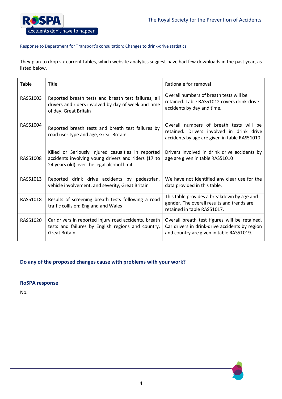

They plan to drop six current tables, which website analytics suggest have had few downloads in the past year, as listed below.

| Table    | Title                                                                                                                                                   | Rationale for removal                                                                                                                       |
|----------|---------------------------------------------------------------------------------------------------------------------------------------------------------|---------------------------------------------------------------------------------------------------------------------------------------------|
| RAS51003 | Reported breath tests and breath test failures, all<br>drivers and riders involved by day of week and time<br>of day, Great Britain                     | Overall numbers of breath tests will be<br>retained. Table RAS51012 covers drink-drive<br>accidents by day and time.                        |
| RAS51004 | Reported breath tests and breath test failures by<br>road user type and age, Great Britain                                                              | Overall numbers of breath tests will be<br>retained. Drivers involved in drink drive<br>accidents by age are given in table RAS51010.       |
| RAS51008 | Killed or Seriously Injured casualties in reported<br>accidents involving young drivers and riders (17 to<br>24 years old) over the legal alcohol limit | Drivers involved in drink drive accidents by<br>age are given in table RAS51010                                                             |
| RAS51013 | Reported drink drive accidents by pedestrian,<br>vehicle involvement, and severity, Great Britain                                                       | We have not identified any clear use for the<br>data provided in this table.                                                                |
| RAS51018 | Results of screening breath tests following a road<br>traffic collision: England and Wales                                                              | This table provides a breakdown by age and<br>gender. The overall results and trends are<br>retained in table RAS51017.                     |
| RAS51020 | Car drivers in reported injury road accidents, breath<br>tests and failures by English regions and country,<br><b>Great Britain</b>                     | Overall breath test figures will be retained.<br>Car drivers in drink-drive accidents by region<br>and country are given in table RAS51019. |

## **Do any of the proposed changes cause with problems with your work?**

**RoSPA response**

No.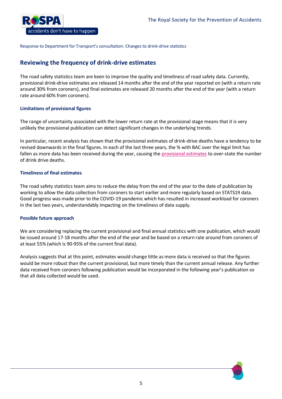

# **Reviewing the frequency of drink-drive estimates**

The road safety statistics team are keen to improve the quality and timeliness of road safety data. Currently, provisional drink-drive estimates are released 14 months after the end of the year reported on (with a return rate around 30% from coroners), and final estimates are released 20 months after the end of the year (with a return rate around 60% from coroners).

### **Limitations of provisional figures**

The range of uncertainty associated with the lower return rate at the provisional stage means that it is very unlikely the provisional publication can detect significant changes in the underlying trends.

In particular, recent analysis has shown that the provisional estimates of drink-drive deaths have a tendency to be revised downwards in the final figures. In each of the last three years, the % with BAC over the legal limit has fallen as more data has been received during the year, causing the [provisional estimates](https://www.gov.uk/government/statistics/reported-road-casualties-in-great-britain-provisional-estimates-involving-illegal-alcohol-levels-2020#FinalDiffer) to over-state the number of drink drive deaths.

### **Timeliness of final estimates**

The road safety statistics team aims to reduce the delay from the end of the year to the date of publication by working to allow the data collection from coroners to start earlier and more regularly based on STATS19 data. Good progress was made prior to the COVID-19 pandemic which has resulted in increased workload for coroners in the last two years, understandably impacting on the timeliness of data supply.

#### **Possible future approach**

We are considering replacing the current provisional and final annual statistics with one publication, which would be issued around 17-18 months after the end of the year and be based on a return rate around from coroners of at least 55% (which is 90-95% of the current final data).

Analysis suggests that at this point, estimates would change little as more data is received so that the figures would be more robust than the current provisional, but more timely than the current annual release. Any further data received from coroners following publication would be incorporated in the following year's publication so that all data collected would be used.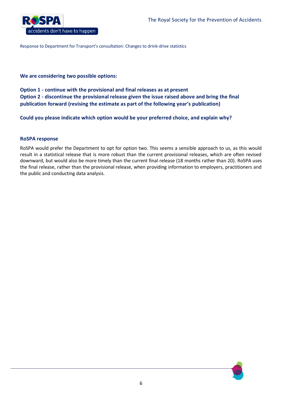

## **We are considering two possible options:**

**Option 1 - continue with the provisional and final releases as at present Option 2 - discontinue the provisional release given the issue raised above and bring the final publication forward (revising the estimate as part of the following year's publication)**

**Could you please indicate which option would be your preferred choice, and explain why?**

## **RoSPA response**

RoSPA would prefer the Department to opt for option two. This seems a sensible approach to us, as this would result in a statistical release that is more robust than the current provisional releases, which are often revised downward, but would also be more timely than the current final release (18 months rather than 20). RoSPA uses the final release, rather than the provisional release, when providing information to employers, practitioners and the public and conducting data analysis.

6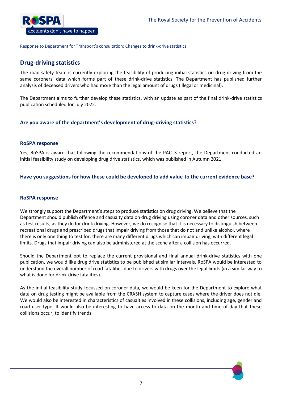

# **Drug-driving statistics**

The road safety team is currently exploring the feasibility of producing initial statistics on drug-driving from the same coroners' data which forms part of these drink-drive statistics. The Department has published further analysis of deceased drivers who had more than the legal amount of drugs (illegal or medicinal).

The Department aims to further develop these statistics, with an update as part of the final drink-drive statistics publication scheduled for July 2022.

## **Are you aware of the department's development of drug-driving statistics?**

#### **RoSPA response**

Yes, RoSPA is aware that following the recommendations of the PACTS report, the Department conducted an initial feasibility study on developing drug drive statistics, which was published in Autumn 2021.

#### **Have you suggestions for how these could be developed to add value to the current evidence base?**

#### **RoSPA response**

We strongly support the Department's steps to produce statistics on drug driving. We believe that the Department should publish offence and casualty data on drug driving using coroner data and other sources, such as test results, as they do for drink driving. However, we do recognise that it is necessary to distinguish between recreational drugs and prescribed drugs that impair driving from those that do not and unlike alcohol, where there is only one thing to test for, there are many different drugs which can impair driving, with different legal limits. Drugs that impair driving can also be administered at the scene after a collision has occurred.

Should the Department opt to replace the current provisional and final annual drink-drive statistics with one publication, we would like drug drive statistics to be published at similar intervals. RoSPA would be interested to understand the overall number of road fatalities due to drivers with drugs over the legal limits (in a similar way to what is done for drink-drive fatalities).

As the initial feasibility study focussed on coroner data, we would be keen for the Department to explore what data on drug testing might be available from the CRASH system to capture cases where the driver does not die. We would also be interested in characteristics of casualties involved in these collisions, including age, gender and road user type. It would also be interesting to have access to data on the month and time of day that these collisions occur, to identify trends.